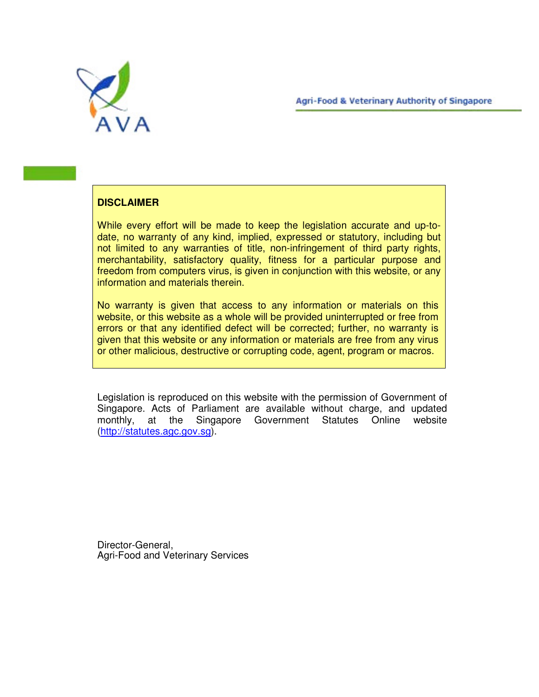**Agri-Food & Veterinary Authority of Singapore** 



## **DISCLAIMER**

While every effort will be made to keep the legislation accurate and up-todate, no warranty of any kind, implied, expressed or statutory, including but not limited to any warranties of title, non-infringement of third party rights, merchantability, satisfactory quality, fitness for a particular purpose and freedom from computers virus, is given in conjunction with this website, or any information and materials therein.

No warranty is given that access to any information or materials on this website, or this website as a whole will be provided uninterrupted or free from errors or that any identified defect will be corrected; further, no warranty is given that this website or any information or materials are free from any virus or other malicious, destructive or corrupting code, agent, program or macros.

Legislation is reproduced on this website with the permission of Government of Singapore. Acts of Parliament are available without charge, and updated monthly, at the Singapore Government Statutes Online website (http://statutes.agc.gov.sg).

Director-General, Agri-Food and Veterinary Services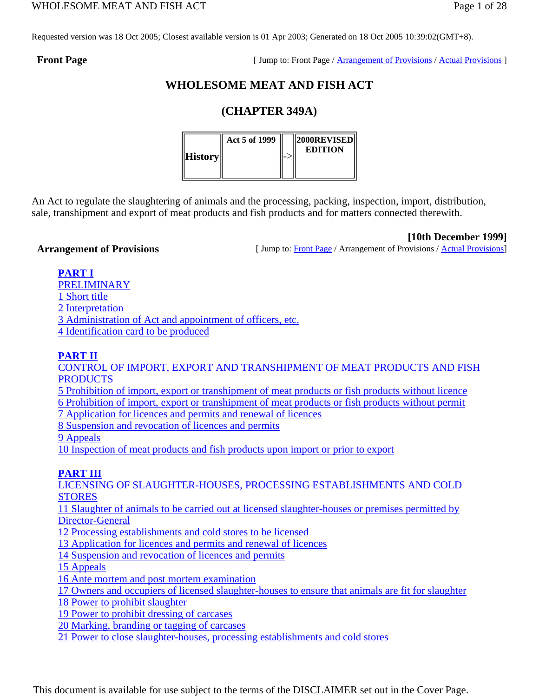Requested version was 18 Oct 2005; Closest available version is 01 Apr 2003; Generated on 18 Oct 2005 10:39:02(GMT+8).

**Front Page** Front Page / Arrangement of Provisions / Actual Provisions ]

# **WHOLESOME MEAT AND FISH ACT**

# **(CHAPTER 349A)**



An Act to regulate the slaughtering of animals and the processing, packing, inspection, import, distribution, sale, transhipment and export of meat products and fish products and for matters connected therewith.

**[10th December 1999]**

**Arrangement of Provisions** [ Jump to: Front Page / Arrangement of Provisions / Actual Provisions]

**PART I**

PRELIMINARY

1 Short title

2 Interpretation

3 Administration of Act and appointment of officers, etc. 4 Identification card to be produced

# **PART II**

CONTROL OF IMPORT, EXPORT AND TRANSHIPMENT OF MEAT PRODUCTS AND FISH **PRODUCTS** 

5 Prohibition of import, export or transhipment of meat products or fish products without licence

6 Prohibition of import, export or transhipment of meat products or fish products without permit

7 Application for licences and permits and renewal of licences

8 Suspension and revocation of licences and permits

9 Appeals

10 Inspection of meat products and fish products upon import or prior to export

# **PART III**

LICENSING OF SLAUGHTER-HOUSES, PROCESSING ESTABLISHMENTS AND COLD **STORES** 11 Slaughter of animals to be carried out at licensed slaughter-houses or premises permitted by Director-General 12 Processing establishments and cold stores to be licensed 13 Application for licences and permits and renewal of licences 14 Suspension and revocation of licences and permits 15 Appeals 16 Ante mortem and post mortem examination 17 Owners and occupiers of licensed slaughter-houses to ensure that animals are fit for slaughter 18 Power to prohibit slaughter 19 Power to prohibit dressing of carcases 20 Marking, branding or tagging of carcases

21 Power to close slaughter-houses, processing establishments and cold stores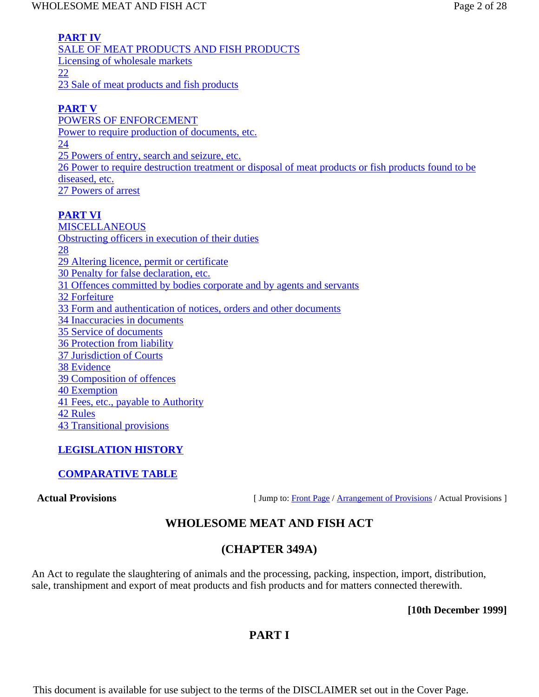**PART IV** SALE OF MEAT PRODUCTS AND FISH PRODUCTS Licensing of wholesale markets 22 23 Sale of meat products and fish products

# **PART V**

POWERS OF ENFORCEMENT Power to require production of documents, etc. 24 25 Powers of entry, search and seizure, etc. 26 Power to require destruction treatment or disposal of meat products or fish products found to be diseased, etc. 27 Powers of arrest

# **PART VI**

MISCELLANEOUS Obstructing officers in execution of their duties 28 29 Altering licence, permit or certificate 30 Penalty for false declaration, etc. 31 Offences committed by bodies corporate and by agents and servants 32 Forfeiture 33 Form and authentication of notices, orders and other documents 34 Inaccuracies in documents 35 Service of documents 36 Protection from liability 37 Jurisdiction of Courts 38 Evidence 39 Composition of offences 40 Exemption 41 Fees, etc., payable to Authority 42 Rules 43 Transitional provisions

# **LEGISLATION HISTORY**

# **COMPARATIVE TABLE**

**Actual Provisions** [ Jump to: Front Page / Arrangement of Provisions / Actual Provisions ]

# **WHOLESOME MEAT AND FISH ACT**

# **(CHAPTER 349A)**

An Act to regulate the slaughtering of animals and the processing, packing, inspection, import, distribution, sale, transhipment and export of meat products and fish products and for matters connected therewith.

**[10th December 1999]**

# **PART I**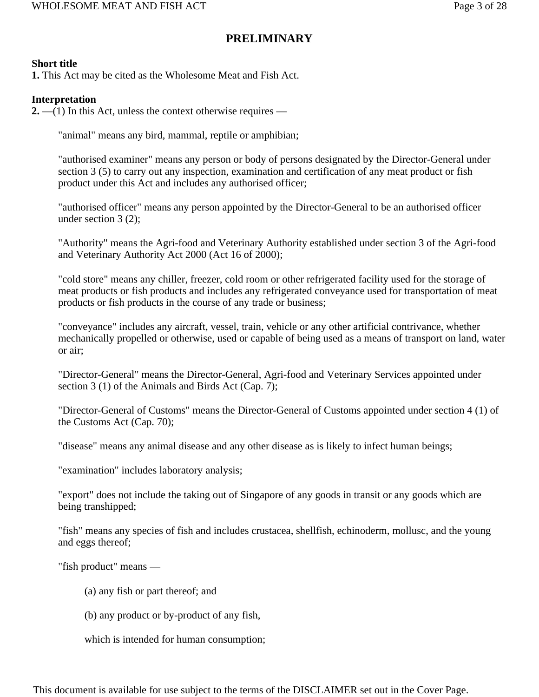# **PRELIMINARY**

## **Short title**

**1.** This Act may be cited as the Wholesome Meat and Fish Act.

## **Interpretation**

**2.** —(1) In this Act, unless the context otherwise requires —

"animal" means any bird, mammal, reptile or amphibian;

"authorised examiner" means any person or body of persons designated by the Director-General under section 3 (5) to carry out any inspection, examination and certification of any meat product or fish product under this Act and includes any authorised officer;

"authorised officer" means any person appointed by the Director-General to be an authorised officer under section 3 (2);

"Authority" means the Agri-food and Veterinary Authority established under section 3 of the Agri-food and Veterinary Authority Act 2000 (Act 16 of 2000);

"cold store" means any chiller, freezer, cold room or other refrigerated facility used for the storage of meat products or fish products and includes any refrigerated conveyance used for transportation of meat products or fish products in the course of any trade or business;

"conveyance" includes any aircraft, vessel, train, vehicle or any other artificial contrivance, whether mechanically propelled or otherwise, used or capable of being used as a means of transport on land, water or air;

"Director-General" means the Director-General, Agri-food and Veterinary Services appointed under section 3 (1) of the Animals and Birds Act (Cap. 7);

"Director-General of Customs" means the Director-General of Customs appointed under section 4 (1) of the Customs Act (Cap. 70);

"disease" means any animal disease and any other disease as is likely to infect human beings;

"examination" includes laboratory analysis;

"export" does not include the taking out of Singapore of any goods in transit or any goods which are being transhipped;

"fish" means any species of fish and includes crustacea, shellfish, echinoderm, mollusc, and the young and eggs thereof;

"fish product" means —

- (a) any fish or part thereof; and
- (b) any product or by-product of any fish,

which is intended for human consumption;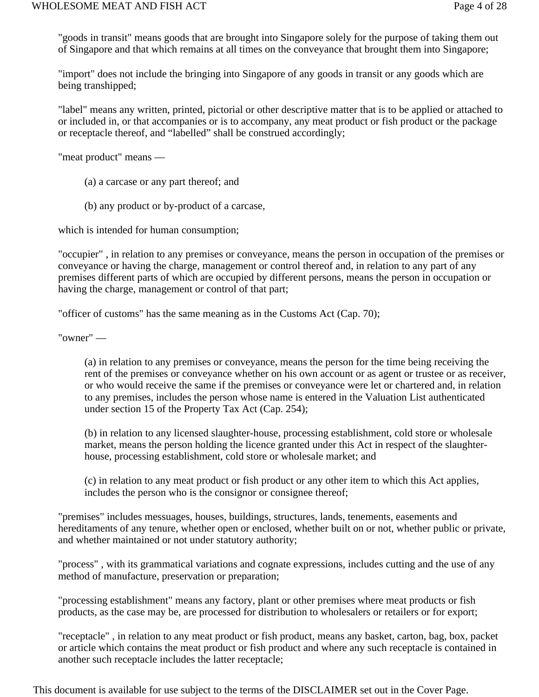"goods in transit" means goods that are brought into Singapore solely for the purpose of taking them out of Singapore and that which remains at all times on the conveyance that brought them into Singapore;

"import" does not include the bringing into Singapore of any goods in transit or any goods which are being transhipped;

"label" means any written, printed, pictorial or other descriptive matter that is to be applied or attached to or included in, or that accompanies or is to accompany, any meat product or fish product or the package or receptacle thereof, and "labelled" shall be construed accordingly;

"meat product" means —

- (a) a carcase or any part thereof; and
- (b) any product or by-product of a carcase,

which is intended for human consumption;

"occupier" , in relation to any premises or conveyance, means the person in occupation of the premises or conveyance or having the charge, management or control thereof and, in relation to any part of any premises different parts of which are occupied by different persons, means the person in occupation or having the charge, management or control of that part;

"officer of customs" has the same meaning as in the Customs Act (Cap. 70);

"owner" —

(a) in relation to any premises or conveyance, means the person for the time being receiving the rent of the premises or conveyance whether on his own account or as agent or trustee or as receiver, or who would receive the same if the premises or conveyance were let or chartered and, in relation to any premises, includes the person whose name is entered in the Valuation List authenticated under section 15 of the Property Tax Act (Cap. 254);

(b) in relation to any licensed slaughter-house, processing establishment, cold store or wholesale market, means the person holding the licence granted under this Act in respect of the slaughterhouse, processing establishment, cold store or wholesale market; and

(c) in relation to any meat product or fish product or any other item to which this Act applies, includes the person who is the consignor or consignee thereof;

"premises" includes messuages, houses, buildings, structures, lands, tenements, easements and hereditaments of any tenure, whether open or enclosed, whether built on or not, whether public or private, and whether maintained or not under statutory authority;

"process" , with its grammatical variations and cognate expressions, includes cutting and the use of any method of manufacture, preservation or preparation;

"processing establishment" means any factory, plant or other premises where meat products or fish products, as the case may be, are processed for distribution to wholesalers or retailers or for export;

"receptacle" , in relation to any meat product or fish product, means any basket, carton, bag, box, packet or article which contains the meat product or fish product and where any such receptacle is contained in another such receptacle includes the latter receptacle;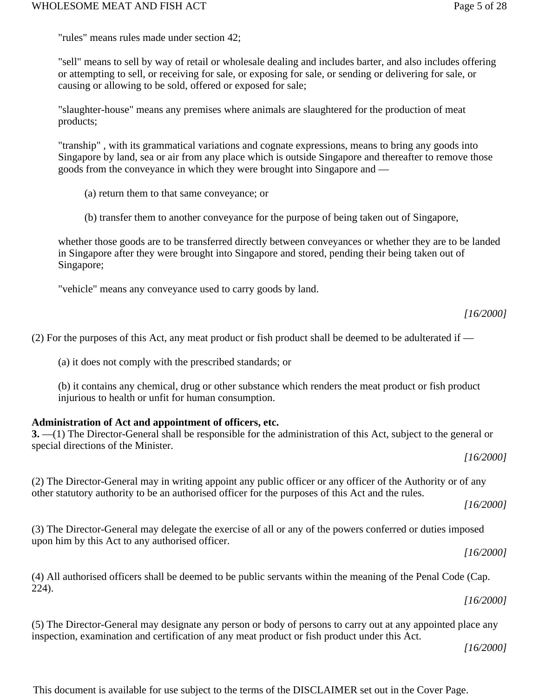"rules" means rules made under section 42;

"sell" means to sell by way of retail or wholesale dealing and includes barter, and also includes offering or attempting to sell, or receiving for sale, or exposing for sale, or sending or delivering for sale, or causing or allowing to be sold, offered or exposed for sale;

"slaughter-house" means any premises where animals are slaughtered for the production of meat products;

"tranship" , with its grammatical variations and cognate expressions, means to bring any goods into Singapore by land, sea or air from any place which is outside Singapore and thereafter to remove those goods from the conveyance in which they were brought into Singapore and —

- (a) return them to that same conveyance; or
- (b) transfer them to another conveyance for the purpose of being taken out of Singapore,

whether those goods are to be transferred directly between conveyances or whether they are to be landed in Singapore after they were brought into Singapore and stored, pending their being taken out of Singapore;

"vehicle" means any conveyance used to carry goods by land.

(2) For the purposes of this Act, any meat product or fish product shall be deemed to be adulterated if —

(a) it does not comply with the prescribed standards; or

(b) it contains any chemical, drug or other substance which renders the meat product or fish product injurious to health or unfit for human consumption.

## **Administration of Act and appointment of officers, etc.**

## **3.** —(1) The Director-General shall be responsible for the administration of this Act, subject to the general or special directions of the Minister.

(2) The Director-General may in writing appoint any public officer or any officer of the Authority or of any other statutory authority to be an authorised officer for the purposes of this Act and the rules.

*[16/2000]*

*[16/2000]*

(3) The Director-General may delegate the exercise of all or any of the powers conferred or duties imposed upon him by this Act to any authorised officer.

*[16/2000]*

(4) All authorised officers shall be deemed to be public servants within the meaning of the Penal Code (Cap. 224).

*[16/2000]*

(5) The Director-General may designate any person or body of persons to carry out at any appointed place any inspection, examination and certification of any meat product or fish product under this Act.

*[16/2000]*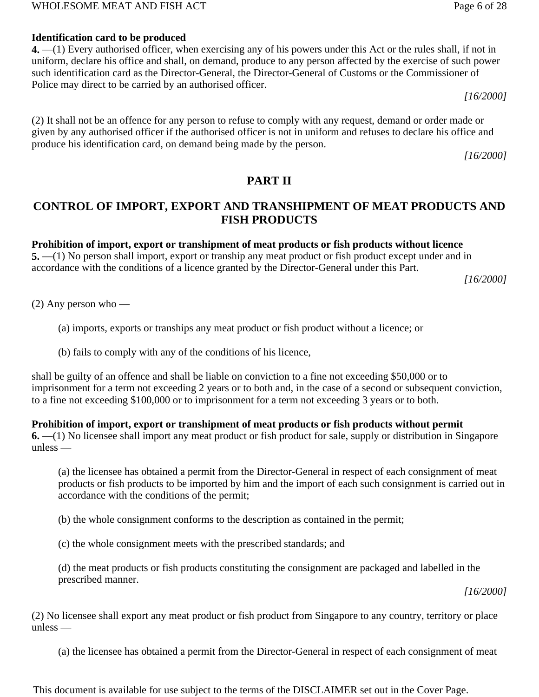#### WHOLESOME MEAT AND FISH ACT Page 6 of 28

## **Identification card to be produced**

**4.** —(1) Every authorised officer, when exercising any of his powers under this Act or the rules shall, if not in uniform, declare his office and shall, on demand, produce to any person affected by the exercise of such power such identification card as the Director-General, the Director-General of Customs or the Commissioner of Police may direct to be carried by an authorised officer.

*[16/2000]*

(2) It shall not be an offence for any person to refuse to comply with any request, demand or order made or given by any authorised officer if the authorised officer is not in uniform and refuses to declare his office and produce his identification card, on demand being made by the person.

*[16/2000]*

# **PART II**

# **CONTROL OF IMPORT, EXPORT AND TRANSHIPMENT OF MEAT PRODUCTS AND FISH PRODUCTS**

#### **Prohibition of import, export or transhipment of meat products or fish products without licence**

**5.** —(1) No person shall import, export or tranship any meat product or fish product except under and in accordance with the conditions of a licence granted by the Director-General under this Part.

*[16/2000]*

(2) Any person who —

(a) imports, exports or tranships any meat product or fish product without a licence; or

(b) fails to comply with any of the conditions of his licence,

shall be guilty of an offence and shall be liable on conviction to a fine not exceeding \$50,000 or to imprisonment for a term not exceeding 2 years or to both and, in the case of a second or subsequent conviction, to a fine not exceeding \$100,000 or to imprisonment for a term not exceeding 3 years or to both.

#### **Prohibition of import, export or transhipment of meat products or fish products without permit**

**6.** —(1) No licensee shall import any meat product or fish product for sale, supply or distribution in Singapore unless —

(a) the licensee has obtained a permit from the Director-General in respect of each consignment of meat products or fish products to be imported by him and the import of each such consignment is carried out in accordance with the conditions of the permit;

(b) the whole consignment conforms to the description as contained in the permit;

(c) the whole consignment meets with the prescribed standards; and

(d) the meat products or fish products constituting the consignment are packaged and labelled in the prescribed manner.

*[16/2000]*

(2) No licensee shall export any meat product or fish product from Singapore to any country, territory or place unless —

(a) the licensee has obtained a permit from the Director-General in respect of each consignment of meat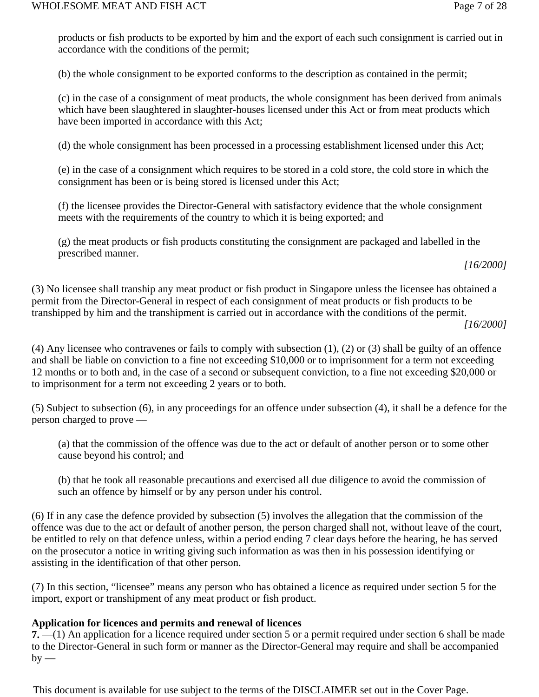products or fish products to be exported by him and the export of each such consignment is carried out in accordance with the conditions of the permit;

(b) the whole consignment to be exported conforms to the description as contained in the permit;

(c) in the case of a consignment of meat products, the whole consignment has been derived from animals which have been slaughtered in slaughter-houses licensed under this Act or from meat products which have been imported in accordance with this Act;

(d) the whole consignment has been processed in a processing establishment licensed under this Act;

(e) in the case of a consignment which requires to be stored in a cold store, the cold store in which the consignment has been or is being stored is licensed under this Act;

(f) the licensee provides the Director-General with satisfactory evidence that the whole consignment meets with the requirements of the country to which it is being exported; and

(g) the meat products or fish products constituting the consignment are packaged and labelled in the prescribed manner.

*[16/2000]*

(3) No licensee shall tranship any meat product or fish product in Singapore unless the licensee has obtained a permit from the Director-General in respect of each consignment of meat products or fish products to be transhipped by him and the transhipment is carried out in accordance with the conditions of the permit.

*[16/2000]*

(4) Any licensee who contravenes or fails to comply with subsection (1), (2) or (3) shall be guilty of an offence and shall be liable on conviction to a fine not exceeding \$10,000 or to imprisonment for a term not exceeding 12 months or to both and, in the case of a second or subsequent conviction, to a fine not exceeding \$20,000 or to imprisonment for a term not exceeding 2 years or to both.

(5) Subject to subsection (6), in any proceedings for an offence under subsection (4), it shall be a defence for the person charged to prove —

(a) that the commission of the offence was due to the act or default of another person or to some other cause beyond his control; and

(b) that he took all reasonable precautions and exercised all due diligence to avoid the commission of such an offence by himself or by any person under his control.

(6) If in any case the defence provided by subsection (5) involves the allegation that the commission of the offence was due to the act or default of another person, the person charged shall not, without leave of the court, be entitled to rely on that defence unless, within a period ending 7 clear days before the hearing, he has served on the prosecutor a notice in writing giving such information as was then in his possession identifying or assisting in the identification of that other person.

(7) In this section, "licensee" means any person who has obtained a licence as required under section 5 for the import, export or transhipment of any meat product or fish product.

## **Application for licences and permits and renewal of licences**

**7.** —(1) An application for a licence required under section 5 or a permit required under section 6 shall be made to the Director-General in such form or manner as the Director-General may require and shall be accompanied  $by -$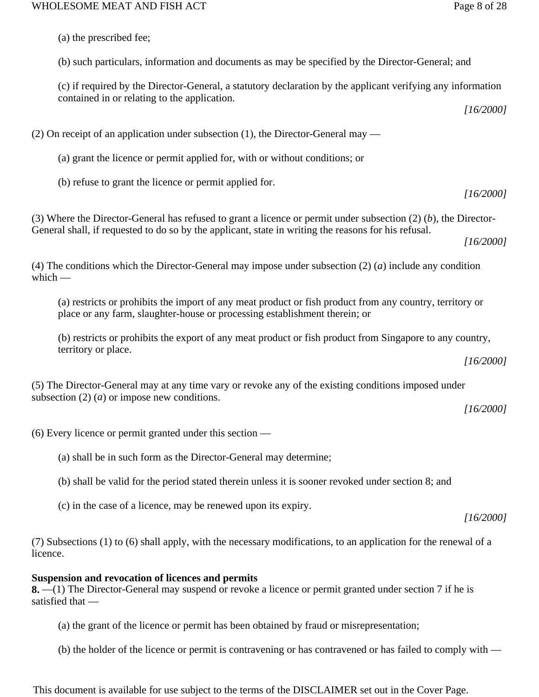(a) the prescribed fee;

(b) such particulars, information and documents as may be specified by the Director-General; and

(c) if required by the Director-General, a statutory declaration by the applicant verifying any information contained in or relating to the application.

*[16/2000]*

(2) On receipt of an application under subsection (1), the Director-General may —

(a) grant the licence or permit applied for, with or without conditions; or

(b) refuse to grant the licence or permit applied for.

(3) Where the Director-General has refused to grant a licence or permit under subsection (2) (*b*), the Director-General shall, if requested to do so by the applicant, state in writing the reasons for his refusal.

*[16/2000]*

*[16/2000]*

(4) The conditions which the Director-General may impose under subsection (2) (*a*) include any condition which  $-$ 

(a) restricts or prohibits the import of any meat product or fish product from any country, territory or place or any farm, slaughter-house or processing establishment therein; or

(b) restricts or prohibits the export of any meat product or fish product from Singapore to any country, territory or place.

*[16/2000]*

(5) The Director-General may at any time vary or revoke any of the existing conditions imposed under subsection (2) (*a*) or impose new conditions.

*[16/2000]*

(6) Every licence or permit granted under this section —

(a) shall be in such form as the Director-General may determine;

(b) shall be valid for the period stated therein unless it is sooner revoked under section 8; and

(c) in the case of a licence, may be renewed upon its expiry.

*[16/2000]*

(7) Subsections (1) to (6) shall apply, with the necessary modifications, to an application for the renewal of a licence.

## **Suspension and revocation of licences and permits**

**8.** —(1) The Director-General may suspend or revoke a licence or permit granted under section 7 if he is satisfied that —

(a) the grant of the licence or permit has been obtained by fraud or misrepresentation;

(b) the holder of the licence or permit is contravening or has contravened or has failed to comply with —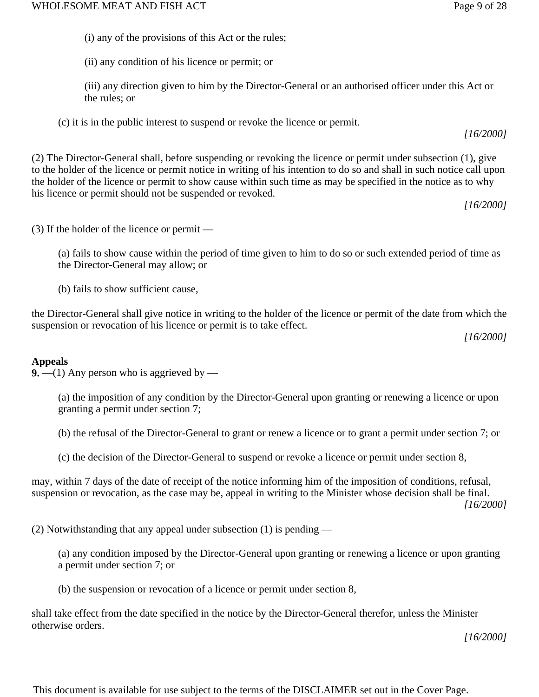(ii) any condition of his licence or permit; or

(iii) any direction given to him by the Director-General or an authorised officer under this Act or the rules; or

(c) it is in the public interest to suspend or revoke the licence or permit.

(2) The Director-General shall, before suspending or revoking the licence or permit under subsection (1), give to the holder of the licence or permit notice in writing of his intention to do so and shall in such notice call upon the holder of the licence or permit to show cause within such time as may be specified in the notice as to why his licence or permit should not be suspended or revoked.

*[16/2000]*

*[16/2000]*

(3) If the holder of the licence or permit —

(a) fails to show cause within the period of time given to him to do so or such extended period of time as the Director-General may allow; or

(b) fails to show sufficient cause,

the Director-General shall give notice in writing to the holder of the licence or permit of the date from which the suspension or revocation of his licence or permit is to take effect.

*[16/2000]*

# **Appeals**

**9.**  $-$ (1) Any person who is aggrieved by  $-$ 

(a) the imposition of any condition by the Director-General upon granting or renewing a licence or upon granting a permit under section 7;

(b) the refusal of the Director-General to grant or renew a licence or to grant a permit under section 7; or

(c) the decision of the Director-General to suspend or revoke a licence or permit under section 8,

may, within 7 days of the date of receipt of the notice informing him of the imposition of conditions, refusal, suspension or revocation, as the case may be, appeal in writing to the Minister whose decision shall be final. *[16/2000]*

(2) Notwithstanding that any appeal under subsection (1) is pending —

(a) any condition imposed by the Director-General upon granting or renewing a licence or upon granting a permit under section 7; or

(b) the suspension or revocation of a licence or permit under section 8,

shall take effect from the date specified in the notice by the Director-General therefor, unless the Minister otherwise orders.

*[16/2000]*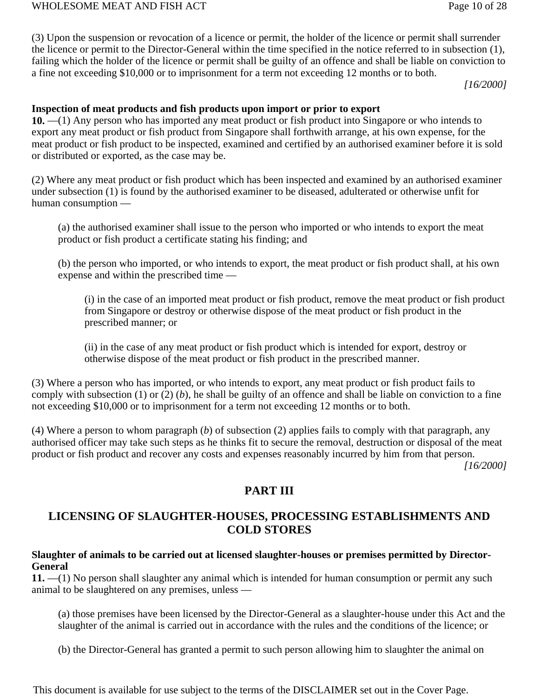(3) Upon the suspension or revocation of a licence or permit, the holder of the licence or permit shall surrender the licence or permit to the Director-General within the time specified in the notice referred to in subsection (1), failing which the holder of the licence or permit shall be guilty of an offence and shall be liable on conviction to a fine not exceeding \$10,000 or to imprisonment for a term not exceeding 12 months or to both.

*[16/2000]*

## **Inspection of meat products and fish products upon import or prior to export**

**10.** —(1) Any person who has imported any meat product or fish product into Singapore or who intends to export any meat product or fish product from Singapore shall forthwith arrange, at his own expense, for the meat product or fish product to be inspected, examined and certified by an authorised examiner before it is sold or distributed or exported, as the case may be.

(2) Where any meat product or fish product which has been inspected and examined by an authorised examiner under subsection (1) is found by the authorised examiner to be diseased, adulterated or otherwise unfit for human consumption —

(a) the authorised examiner shall issue to the person who imported or who intends to export the meat product or fish product a certificate stating his finding; and

(b) the person who imported, or who intends to export, the meat product or fish product shall, at his own expense and within the prescribed time —

(i) in the case of an imported meat product or fish product, remove the meat product or fish product from Singapore or destroy or otherwise dispose of the meat product or fish product in the prescribed manner; or

(ii) in the case of any meat product or fish product which is intended for export, destroy or otherwise dispose of the meat product or fish product in the prescribed manner.

(3) Where a person who has imported, or who intends to export, any meat product or fish product fails to comply with subsection (1) or (2) (*b*), he shall be guilty of an offence and shall be liable on conviction to a fine not exceeding \$10,000 or to imprisonment for a term not exceeding 12 months or to both.

(4) Where a person to whom paragraph (*b*) of subsection (2) applies fails to comply with that paragraph, any authorised officer may take such steps as he thinks fit to secure the removal, destruction or disposal of the meat product or fish product and recover any costs and expenses reasonably incurred by him from that person.

*[16/2000]*

# **PART III**

# **LICENSING OF SLAUGHTER-HOUSES, PROCESSING ESTABLISHMENTS AND COLD STORES**

## **Slaughter of animals to be carried out at licensed slaughter-houses or premises permitted by Director-General**

**11.** —(1) No person shall slaughter any animal which is intended for human consumption or permit any such animal to be slaughtered on any premises, unless —

(a) those premises have been licensed by the Director-General as a slaughter-house under this Act and the slaughter of the animal is carried out in accordance with the rules and the conditions of the licence; or

(b) the Director-General has granted a permit to such person allowing him to slaughter the animal on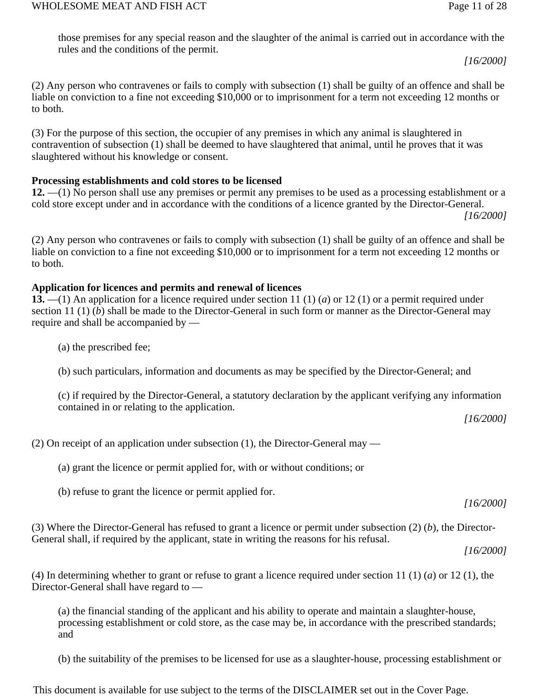those premises for any special reason and the slaughter of the animal is carried out in accordance with the rules and the conditions of the permit.

*[16/2000]*

(2) Any person who contravenes or fails to comply with subsection (1) shall be guilty of an offence and shall be liable on conviction to a fine not exceeding \$10,000 or to imprisonment for a term not exceeding 12 months or to both.

(3) For the purpose of this section, the occupier of any premises in which any animal is slaughtered in contravention of subsection (1) shall be deemed to have slaughtered that animal, until he proves that it was slaughtered without his knowledge or consent.

# **Processing establishments and cold stores to be licensed**

**12.** —(1) No person shall use any premises or permit any premises to be used as a processing establishment or a cold store except under and in accordance with the conditions of a licence granted by the Director-General. *[16/2000]*

(2) Any person who contravenes or fails to comply with subsection (1) shall be guilty of an offence and shall be liable on conviction to a fine not exceeding \$10,000 or to imprisonment for a term not exceeding 12 months or to both.

## **Application for licences and permits and renewal of licences**

**13.** —(1) An application for a licence required under section 11 (1) (*a*) or 12 (1) or a permit required under section 11 (1) (*b*) shall be made to the Director-General in such form or manner as the Director-General may require and shall be accompanied by —

- (a) the prescribed fee;
- (b) such particulars, information and documents as may be specified by the Director-General; and

(c) if required by the Director-General, a statutory declaration by the applicant verifying any information contained in or relating to the application.

*[16/2000]*

(2) On receipt of an application under subsection (1), the Director-General may —

(a) grant the licence or permit applied for, with or without conditions; or

(b) refuse to grant the licence or permit applied for.

*[16/2000]*

(3) Where the Director-General has refused to grant a licence or permit under subsection (2) (*b*), the Director-General shall, if required by the applicant, state in writing the reasons for his refusal.

*[16/2000]*

(4) In determining whether to grant or refuse to grant a licence required under section 11 (1) (*a*) or 12 (1), the Director-General shall have regard to —

(a) the financial standing of the applicant and his ability to operate and maintain a slaughter-house, processing establishment or cold store, as the case may be, in accordance with the prescribed standards; and

(b) the suitability of the premises to be licensed for use as a slaughter-house, processing establishment or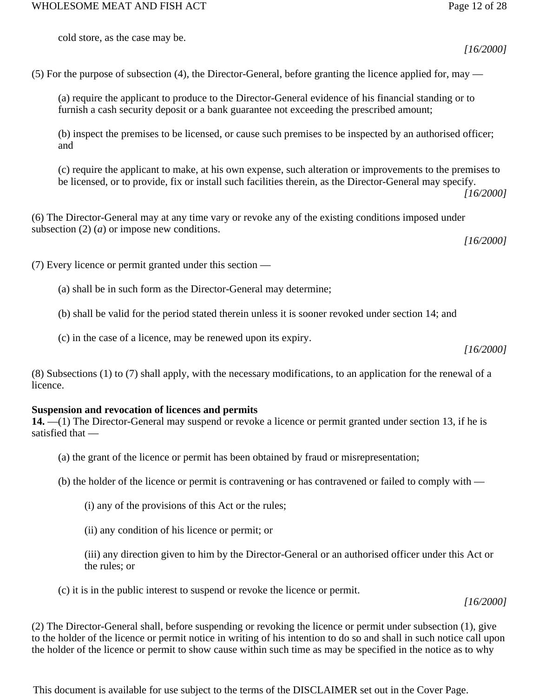*[16/2000]*

(5) For the purpose of subsection (4), the Director-General, before granting the licence applied for, may —

(a) require the applicant to produce to the Director-General evidence of his financial standing or to furnish a cash security deposit or a bank guarantee not exceeding the prescribed amount;

(b) inspect the premises to be licensed, or cause such premises to be inspected by an authorised officer; and

(c) require the applicant to make, at his own expense, such alteration or improvements to the premises to be licensed, or to provide, fix or install such facilities therein, as the Director-General may specify.

*[16/2000]*

(6) The Director-General may at any time vary or revoke any of the existing conditions imposed under subsection (2) (*a*) or impose new conditions.

*[16/2000]*

(7) Every licence or permit granted under this section —

(a) shall be in such form as the Director-General may determine;

(b) shall be valid for the period stated therein unless it is sooner revoked under section 14; and

(c) in the case of a licence, may be renewed upon its expiry.

*[16/2000]*

(8) Subsections (1) to (7) shall apply, with the necessary modifications, to an application for the renewal of a licence.

# **Suspension and revocation of licences and permits**

**14.** —(1) The Director-General may suspend or revoke a licence or permit granted under section 13, if he is satisfied that —

- (a) the grant of the licence or permit has been obtained by fraud or misrepresentation;
- (b) the holder of the licence or permit is contravening or has contravened or failed to comply with
	- (i) any of the provisions of this Act or the rules;
	- (ii) any condition of his licence or permit; or

(iii) any direction given to him by the Director-General or an authorised officer under this Act or the rules; or

(c) it is in the public interest to suspend or revoke the licence or permit.

*[16/2000]*

(2) The Director-General shall, before suspending or revoking the licence or permit under subsection (1), give to the holder of the licence or permit notice in writing of his intention to do so and shall in such notice call upon the holder of the licence or permit to show cause within such time as may be specified in the notice as to why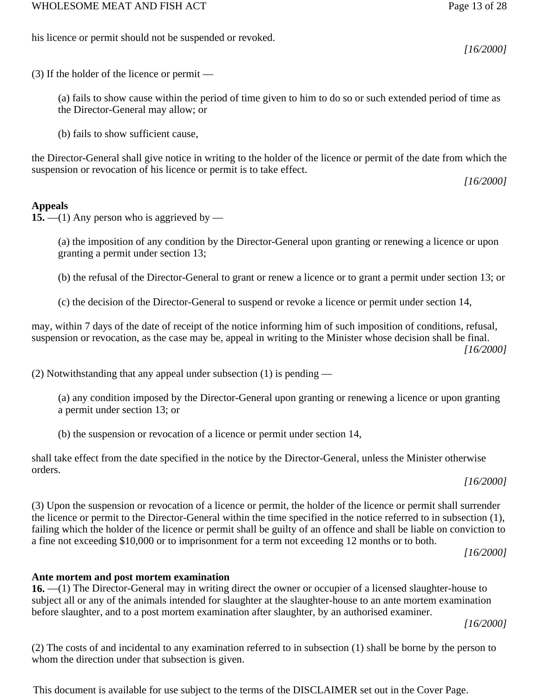*[16/2000]*

*[16/2000]*

(3) If the holder of the licence or permit —

his licence or permit should not be suspended or revoked.

(a) fails to show cause within the period of time given to him to do so or such extended period of time as the Director-General may allow; or

(b) fails to show sufficient cause,

the Director-General shall give notice in writing to the holder of the licence or permit of the date from which the suspension or revocation of his licence or permit is to take effect.

## **Appeals**

**15.** —(1) Any person who is aggrieved by —

(a) the imposition of any condition by the Director-General upon granting or renewing a licence or upon granting a permit under section 13;

(b) the refusal of the Director-General to grant or renew a licence or to grant a permit under section 13; or

(c) the decision of the Director-General to suspend or revoke a licence or permit under section 14,

may, within 7 days of the date of receipt of the notice informing him of such imposition of conditions, refusal, suspension or revocation, as the case may be, appeal in writing to the Minister whose decision shall be final. *[16/2000]*

(2) Notwithstanding that any appeal under subsection (1) is pending —

(a) any condition imposed by the Director-General upon granting or renewing a licence or upon granting a permit under section 13; or

(b) the suspension or revocation of a licence or permit under section 14,

shall take effect from the date specified in the notice by the Director-General, unless the Minister otherwise orders.

*[16/2000]*

(3) Upon the suspension or revocation of a licence or permit, the holder of the licence or permit shall surrender the licence or permit to the Director-General within the time specified in the notice referred to in subsection (1), failing which the holder of the licence or permit shall be guilty of an offence and shall be liable on conviction to a fine not exceeding \$10,000 or to imprisonment for a term not exceeding 12 months or to both.

*[16/2000]*

## **Ante mortem and post mortem examination**

**16.** —(1) The Director-General may in writing direct the owner or occupier of a licensed slaughter-house to subject all or any of the animals intended for slaughter at the slaughter-house to an ante mortem examination before slaughter, and to a post mortem examination after slaughter, by an authorised examiner.

*[16/2000]*

(2) The costs of and incidental to any examination referred to in subsection (1) shall be borne by the person to whom the direction under that subsection is given.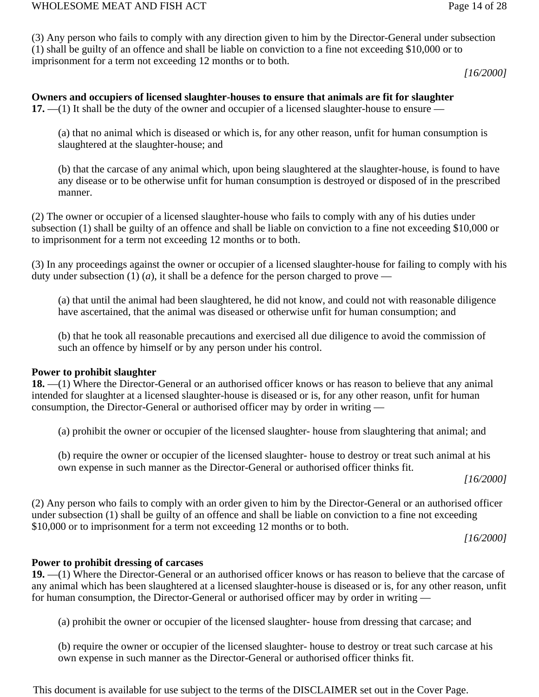(3) Any person who fails to comply with any direction given to him by the Director-General under subsection (1) shall be guilty of an offence and shall be liable on conviction to a fine not exceeding \$10,000 or to imprisonment for a term not exceeding 12 months or to both.

*[16/2000]*

**Owners and occupiers of licensed slaughter-houses to ensure that animals are fit for slaughter 17.** —(1) It shall be the duty of the owner and occupier of a licensed slaughter-house to ensure —

(a) that no animal which is diseased or which is, for any other reason, unfit for human consumption is slaughtered at the slaughter-house; and

(b) that the carcase of any animal which, upon being slaughtered at the slaughter-house, is found to have any disease or to be otherwise unfit for human consumption is destroyed or disposed of in the prescribed manner.

(2) The owner or occupier of a licensed slaughter-house who fails to comply with any of his duties under subsection (1) shall be guilty of an offence and shall be liable on conviction to a fine not exceeding \$10,000 or to imprisonment for a term not exceeding 12 months or to both.

(3) In any proceedings against the owner or occupier of a licensed slaughter-house for failing to comply with his duty under subsection (1) (*a*), it shall be a defence for the person charged to prove —

(a) that until the animal had been slaughtered, he did not know, and could not with reasonable diligence have ascertained, that the animal was diseased or otherwise unfit for human consumption; and

(b) that he took all reasonable precautions and exercised all due diligence to avoid the commission of such an offence by himself or by any person under his control.

## **Power to prohibit slaughter**

**18.** —(1) Where the Director-General or an authorised officer knows or has reason to believe that any animal intended for slaughter at a licensed slaughter-house is diseased or is, for any other reason, unfit for human consumption, the Director-General or authorised officer may by order in writing —

(a) prohibit the owner or occupier of the licensed slaughter- house from slaughtering that animal; and

(b) require the owner or occupier of the licensed slaughter- house to destroy or treat such animal at his own expense in such manner as the Director-General or authorised officer thinks fit.

*[16/2000]*

(2) Any person who fails to comply with an order given to him by the Director-General or an authorised officer under subsection (1) shall be guilty of an offence and shall be liable on conviction to a fine not exceeding \$10,000 or to imprisonment for a term not exceeding 12 months or to both.

*[16/2000]*

# **Power to prohibit dressing of carcases**

**19.** —(1) Where the Director-General or an authorised officer knows or has reason to believe that the carcase of any animal which has been slaughtered at a licensed slaughter-house is diseased or is, for any other reason, unfit for human consumption, the Director-General or authorised officer may by order in writing —

(a) prohibit the owner or occupier of the licensed slaughter- house from dressing that carcase; and

(b) require the owner or occupier of the licensed slaughter- house to destroy or treat such carcase at his own expense in such manner as the Director-General or authorised officer thinks fit.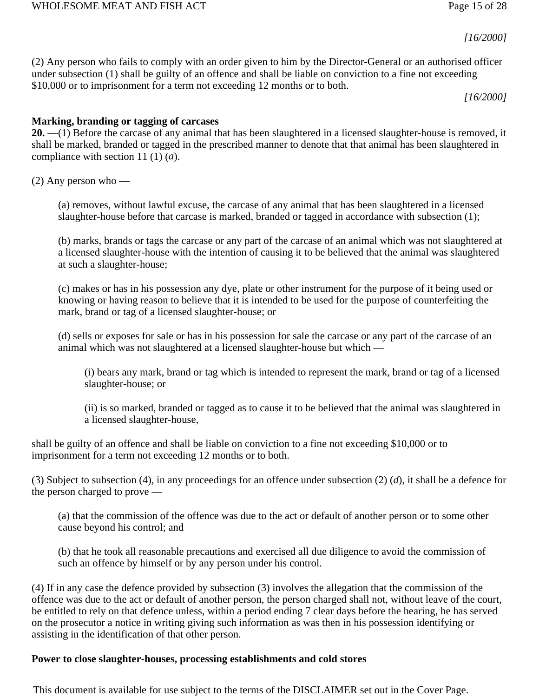#### WHOLESOME MEAT AND FISH ACT **Page 15 of 28**

*[16/2000]*

(2) Any person who fails to comply with an order given to him by the Director-General or an authorised officer under subsection (1) shall be guilty of an offence and shall be liable on conviction to a fine not exceeding \$10,000 or to imprisonment for a term not exceeding 12 months or to both.

*[16/2000]*

## **Marking, branding or tagging of carcases**

**20.** —(1) Before the carcase of any animal that has been slaughtered in a licensed slaughter-house is removed, it shall be marked, branded or tagged in the prescribed manner to denote that that animal has been slaughtered in compliance with section 11 (1) (*a*).

 $(2)$  Any person who —

(a) removes, without lawful excuse, the carcase of any animal that has been slaughtered in a licensed slaughter-house before that carcase is marked, branded or tagged in accordance with subsection (1);

(b) marks, brands or tags the carcase or any part of the carcase of an animal which was not slaughtered at a licensed slaughter-house with the intention of causing it to be believed that the animal was slaughtered at such a slaughter-house;

(c) makes or has in his possession any dye, plate or other instrument for the purpose of it being used or knowing or having reason to believe that it is intended to be used for the purpose of counterfeiting the mark, brand or tag of a licensed slaughter-house; or

(d) sells or exposes for sale or has in his possession for sale the carcase or any part of the carcase of an animal which was not slaughtered at a licensed slaughter-house but which —

(i) bears any mark, brand or tag which is intended to represent the mark, brand or tag of a licensed slaughter-house; or

(ii) is so marked, branded or tagged as to cause it to be believed that the animal was slaughtered in a licensed slaughter-house,

shall be guilty of an offence and shall be liable on conviction to a fine not exceeding \$10,000 or to imprisonment for a term not exceeding 12 months or to both.

(3) Subject to subsection (4), in any proceedings for an offence under subsection (2) (*d*), it shall be a defence for the person charged to prove —

(a) that the commission of the offence was due to the act or default of another person or to some other cause beyond his control; and

(b) that he took all reasonable precautions and exercised all due diligence to avoid the commission of such an offence by himself or by any person under his control.

(4) If in any case the defence provided by subsection (3) involves the allegation that the commission of the offence was due to the act or default of another person, the person charged shall not, without leave of the court, be entitled to rely on that defence unless, within a period ending 7 clear days before the hearing, he has served on the prosecutor a notice in writing giving such information as was then in his possession identifying or assisting in the identification of that other person.

## **Power to close slaughter-houses, processing establishments and cold stores**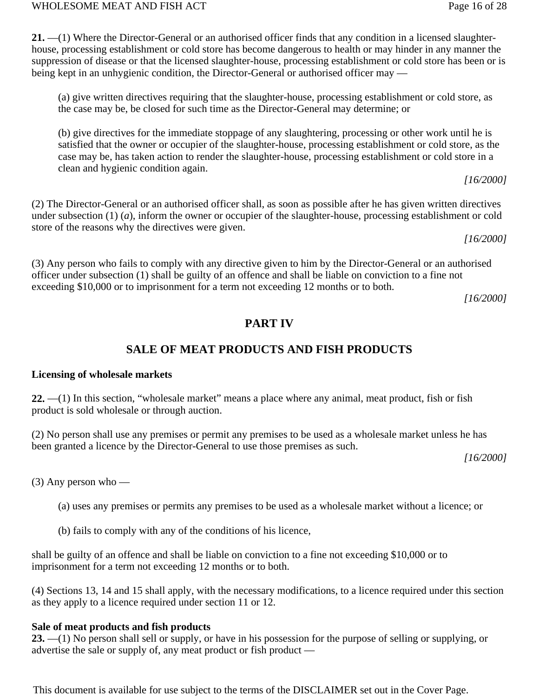WHOLESOME MEAT AND FISH ACT **Page 16 of 28** 

**21.** —(1) Where the Director-General or an authorised officer finds that any condition in a licensed slaughterhouse, processing establishment or cold store has become dangerous to health or may hinder in any manner the suppression of disease or that the licensed slaughter-house, processing establishment or cold store has been or is being kept in an unhygienic condition, the Director-General or authorised officer may —

(a) give written directives requiring that the slaughter-house, processing establishment or cold store, as the case may be, be closed for such time as the Director-General may determine; or

(b) give directives for the immediate stoppage of any slaughtering, processing or other work until he is satisfied that the owner or occupier of the slaughter-house, processing establishment or cold store, as the case may be, has taken action to render the slaughter-house, processing establishment or cold store in a clean and hygienic condition again.

*[16/2000]*

(2) The Director-General or an authorised officer shall, as soon as possible after he has given written directives under subsection (1) (*a*), inform the owner or occupier of the slaughter-house, processing establishment or cold store of the reasons why the directives were given.

*[16/2000]*

(3) Any person who fails to comply with any directive given to him by the Director-General or an authorised officer under subsection (1) shall be guilty of an offence and shall be liable on conviction to a fine not exceeding \$10,000 or to imprisonment for a term not exceeding 12 months or to both.

*[16/2000]*

# **PART IV**

# **SALE OF MEAT PRODUCTS AND FISH PRODUCTS**

# **Licensing of wholesale markets**

**22.** —(1) In this section, "wholesale market" means a place where any animal, meat product, fish or fish product is sold wholesale or through auction.

(2) No person shall use any premises or permit any premises to be used as a wholesale market unless he has been granted a licence by the Director-General to use those premises as such.

*[16/2000]*

 $(3)$  Any person who —

(a) uses any premises or permits any premises to be used as a wholesale market without a licence; or

(b) fails to comply with any of the conditions of his licence,

shall be guilty of an offence and shall be liable on conviction to a fine not exceeding \$10,000 or to imprisonment for a term not exceeding 12 months or to both.

(4) Sections 13, 14 and 15 shall apply, with the necessary modifications, to a licence required under this section as they apply to a licence required under section 11 or 12.

# **Sale of meat products and fish products**

**23.** —(1) No person shall sell or supply, or have in his possession for the purpose of selling or supplying, or advertise the sale or supply of, any meat product or fish product —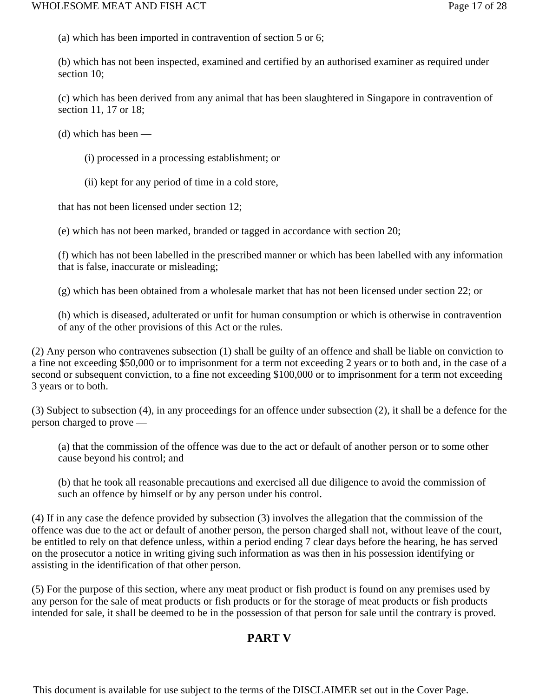(a) which has been imported in contravention of section 5 or 6;

(b) which has not been inspected, examined and certified by an authorised examiner as required under section 10;

(c) which has been derived from any animal that has been slaughtered in Singapore in contravention of section 11, 17 or 18;

(d) which has been —

- (i) processed in a processing establishment; or
- (ii) kept for any period of time in a cold store,

that has not been licensed under section 12;

(e) which has not been marked, branded or tagged in accordance with section 20;

(f) which has not been labelled in the prescribed manner or which has been labelled with any information that is false, inaccurate or misleading;

(g) which has been obtained from a wholesale market that has not been licensed under section 22; or

(h) which is diseased, adulterated or unfit for human consumption or which is otherwise in contravention of any of the other provisions of this Act or the rules.

(2) Any person who contravenes subsection (1) shall be guilty of an offence and shall be liable on conviction to a fine not exceeding \$50,000 or to imprisonment for a term not exceeding 2 years or to both and, in the case of a second or subsequent conviction, to a fine not exceeding \$100,000 or to imprisonment for a term not exceeding 3 years or to both.

(3) Subject to subsection (4), in any proceedings for an offence under subsection (2), it shall be a defence for the person charged to prove —

(a) that the commission of the offence was due to the act or default of another person or to some other cause beyond his control; and

(b) that he took all reasonable precautions and exercised all due diligence to avoid the commission of such an offence by himself or by any person under his control.

(4) If in any case the defence provided by subsection (3) involves the allegation that the commission of the offence was due to the act or default of another person, the person charged shall not, without leave of the court, be entitled to rely on that defence unless, within a period ending 7 clear days before the hearing, he has served on the prosecutor a notice in writing giving such information as was then in his possession identifying or assisting in the identification of that other person.

(5) For the purpose of this section, where any meat product or fish product is found on any premises used by any person for the sale of meat products or fish products or for the storage of meat products or fish products intended for sale, it shall be deemed to be in the possession of that person for sale until the contrary is proved.

# **PART V**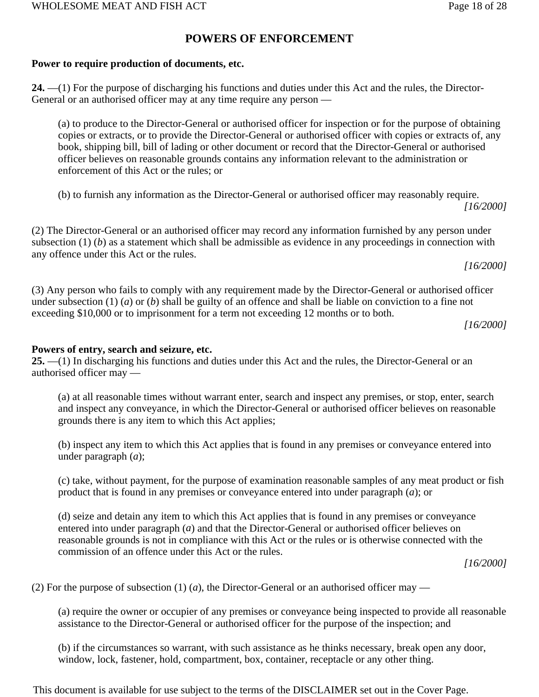# **POWERS OF ENFORCEMENT**

## **Power to require production of documents, etc.**

**24.** —(1) For the purpose of discharging his functions and duties under this Act and the rules, the Director-General or an authorised officer may at any time require any person —

(a) to produce to the Director-General or authorised officer for inspection or for the purpose of obtaining copies or extracts, or to provide the Director-General or authorised officer with copies or extracts of, any book, shipping bill, bill of lading or other document or record that the Director-General or authorised officer believes on reasonable grounds contains any information relevant to the administration or enforcement of this Act or the rules; or

(b) to furnish any information as the Director-General or authorised officer may reasonably require. *[16/2000]*

(2) The Director-General or an authorised officer may record any information furnished by any person under subsection  $(1)$  (*b*) as a statement which shall be admissible as evidence in any proceedings in connection with any offence under this Act or the rules.

*[16/2000]*

(3) Any person who fails to comply with any requirement made by the Director-General or authorised officer under subsection (1) (*a*) or (*b*) shall be guilty of an offence and shall be liable on conviction to a fine not exceeding \$10,000 or to imprisonment for a term not exceeding 12 months or to both.

*[16/2000]*

## **Powers of entry, search and seizure, etc.**

**25.** —(1) In discharging his functions and duties under this Act and the rules, the Director-General or an authorised officer may —

(a) at all reasonable times without warrant enter, search and inspect any premises, or stop, enter, search and inspect any conveyance, in which the Director-General or authorised officer believes on reasonable grounds there is any item to which this Act applies;

(b) inspect any item to which this Act applies that is found in any premises or conveyance entered into under paragraph (*a*);

(c) take, without payment, for the purpose of examination reasonable samples of any meat product or fish product that is found in any premises or conveyance entered into under paragraph (*a*); or

(d) seize and detain any item to which this Act applies that is found in any premises or conveyance entered into under paragraph (*a*) and that the Director-General or authorised officer believes on reasonable grounds is not in compliance with this Act or the rules or is otherwise connected with the commission of an offence under this Act or the rules.

*[16/2000]*

(2) For the purpose of subsection (1) (*a*), the Director-General or an authorised officer may —

(a) require the owner or occupier of any premises or conveyance being inspected to provide all reasonable assistance to the Director-General or authorised officer for the purpose of the inspection; and

(b) if the circumstances so warrant, with such assistance as he thinks necessary, break open any door, window, lock, fastener, hold, compartment, box, container, receptacle or any other thing.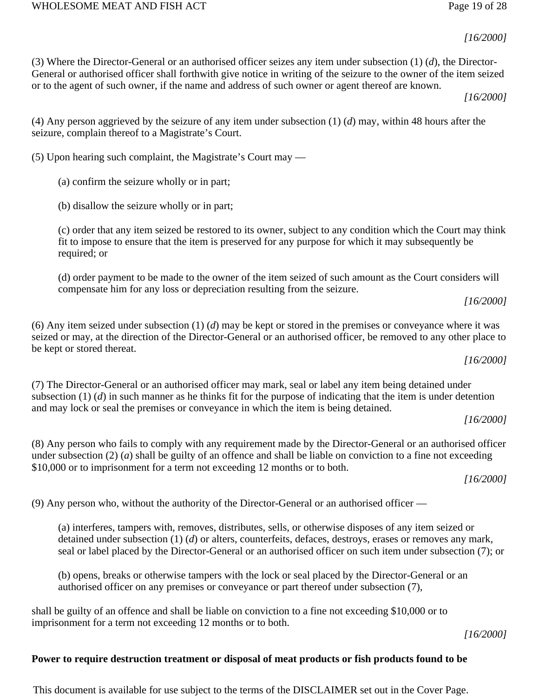#### WHOLESOME MEAT AND FISH ACT **Page 19 of 28**

*[16/2000]*

(3) Where the Director-General or an authorised officer seizes any item under subsection (1) (*d*), the Director-General or authorised officer shall forthwith give notice in writing of the seizure to the owner of the item seized or to the agent of such owner, if the name and address of such owner or agent thereof are known.

*[16/2000]*

(4) Any person aggrieved by the seizure of any item under subsection (1) (*d*) may, within 48 hours after the seizure, complain thereof to a Magistrate's Court.

(5) Upon hearing such complaint, the Magistrate's Court may —

(a) confirm the seizure wholly or in part;

(b) disallow the seizure wholly or in part;

(c) order that any item seized be restored to its owner, subject to any condition which the Court may think fit to impose to ensure that the item is preserved for any purpose for which it may subsequently be required; or

(d) order payment to be made to the owner of the item seized of such amount as the Court considers will compensate him for any loss or depreciation resulting from the seizure.

```
[16/2000]
```
(6) Any item seized under subsection (1) (*d*) may be kept or stored in the premises or conveyance where it was seized or may, at the direction of the Director-General or an authorised officer, be removed to any other place to be kept or stored thereat.

*[16/2000]*

(7) The Director-General or an authorised officer may mark, seal or label any item being detained under subsection (1) (*d*) in such manner as he thinks fit for the purpose of indicating that the item is under detention and may lock or seal the premises or conveyance in which the item is being detained.

*[16/2000]*

(8) Any person who fails to comply with any requirement made by the Director-General or an authorised officer under subsection (2) (*a*) shall be guilty of an offence and shall be liable on conviction to a fine not exceeding \$10,000 or to imprisonment for a term not exceeding 12 months or to both.

*[16/2000]*

(9) Any person who, without the authority of the Director-General or an authorised officer —

(a) interferes, tampers with, removes, distributes, sells, or otherwise disposes of any item seized or detained under subsection (1) (*d*) or alters, counterfeits, defaces, destroys, erases or removes any mark, seal or label placed by the Director-General or an authorised officer on such item under subsection (7); or

(b) opens, breaks or otherwise tampers with the lock or seal placed by the Director-General or an authorised officer on any premises or conveyance or part thereof under subsection (7),

shall be guilty of an offence and shall be liable on conviction to a fine not exceeding \$10,000 or to imprisonment for a term not exceeding 12 months or to both.

*[16/2000]*

# **Power to require destruction treatment or disposal of meat products or fish products found to be**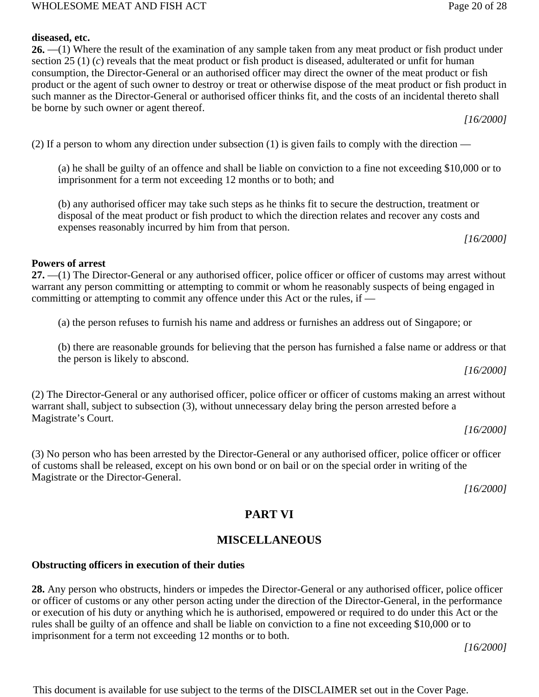#### such manner as the Director-General or authorised officer thinks fit, and the costs of an incidental thereto shall be borne by such owner or agent thereof.

(2) If a person to whom any direction under subsection (1) is given fails to comply with the direction —

(a) he shall be guilty of an offence and shall be liable on conviction to a fine not exceeding \$10,000 or to imprisonment for a term not exceeding 12 months or to both; and

(b) any authorised officer may take such steps as he thinks fit to secure the destruction, treatment or disposal of the meat product or fish product to which the direction relates and recover any costs and expenses reasonably incurred by him from that person.

**26.** —(1) Where the result of the examination of any sample taken from any meat product or fish product under

section 25 (1) (*c*) reveals that the meat product or fish product is diseased, adulterated or unfit for human consumption, the Director-General or an authorised officer may direct the owner of the meat product or fish product or the agent of such owner to destroy or treat or otherwise dispose of the meat product or fish product in

*[16/2000]*

# **Powers of arrest**

**diseased, etc.** 

**27.** —(1) The Director-General or any authorised officer, police officer or officer of customs may arrest without warrant any person committing or attempting to commit or whom he reasonably suspects of being engaged in committing or attempting to commit any offence under this Act or the rules, if —

- (a) the person refuses to furnish his name and address or furnishes an address out of Singapore; or
- (b) there are reasonable grounds for believing that the person has furnished a false name or address or that the person is likely to abscond.

*[16/2000]*

(2) The Director-General or any authorised officer, police officer or officer of customs making an arrest without warrant shall, subject to subsection (3), without unnecessary delay bring the person arrested before a Magistrate's Court.

*[16/2000]*

(3) No person who has been arrested by the Director-General or any authorised officer, police officer or officer of customs shall be released, except on his own bond or on bail or on the special order in writing of the Magistrate or the Director-General.

*[16/2000]*

# **PART VI**

# **MISCELLANEOUS**

#### **Obstructing officers in execution of their duties**

**28.** Any person who obstructs, hinders or impedes the Director-General or any authorised officer, police officer or officer of customs or any other person acting under the direction of the Director-General, in the performance or execution of his duty or anything which he is authorised, empowered or required to do under this Act or the rules shall be guilty of an offence and shall be liable on conviction to a fine not exceeding \$10,000 or to imprisonment for a term not exceeding 12 months or to both.

*[16/2000]*

This document is available for use subject to the terms of the DISCLAIMER set out in the Cover Page.

*[16/2000]*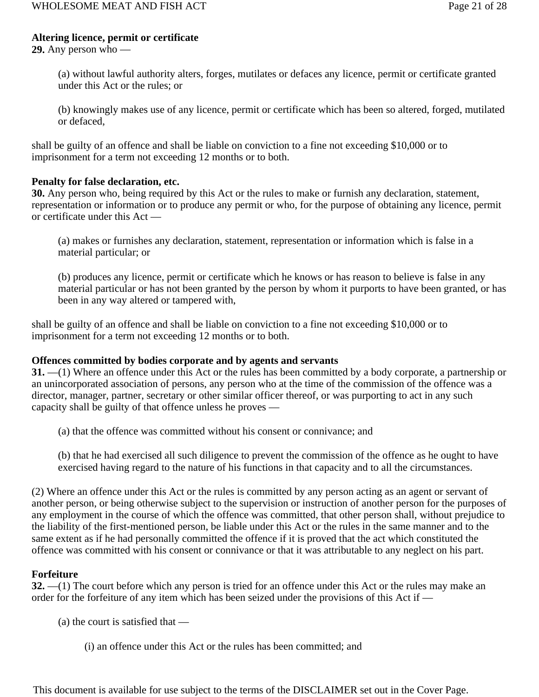## **Altering licence, permit or certificate**

**29.** Any person who —

(a) without lawful authority alters, forges, mutilates or defaces any licence, permit or certificate granted under this Act or the rules; or

(b) knowingly makes use of any licence, permit or certificate which has been so altered, forged, mutilated or defaced,

shall be guilty of an offence and shall be liable on conviction to a fine not exceeding \$10,000 or to imprisonment for a term not exceeding 12 months or to both.

#### **Penalty for false declaration, etc.**

**30.** Any person who, being required by this Act or the rules to make or furnish any declaration, statement, representation or information or to produce any permit or who, for the purpose of obtaining any licence, permit or certificate under this Act —

(a) makes or furnishes any declaration, statement, representation or information which is false in a material particular; or

(b) produces any licence, permit or certificate which he knows or has reason to believe is false in any material particular or has not been granted by the person by whom it purports to have been granted, or has been in any way altered or tampered with,

shall be guilty of an offence and shall be liable on conviction to a fine not exceeding \$10,000 or to imprisonment for a term not exceeding 12 months or to both.

#### **Offences committed by bodies corporate and by agents and servants**

**31.** —(1) Where an offence under this Act or the rules has been committed by a body corporate, a partnership or an unincorporated association of persons, any person who at the time of the commission of the offence was a director, manager, partner, secretary or other similar officer thereof, or was purporting to act in any such capacity shall be guilty of that offence unless he proves —

(a) that the offence was committed without his consent or connivance; and

(b) that he had exercised all such diligence to prevent the commission of the offence as he ought to have exercised having regard to the nature of his functions in that capacity and to all the circumstances.

(2) Where an offence under this Act or the rules is committed by any person acting as an agent or servant of another person, or being otherwise subject to the supervision or instruction of another person for the purposes of any employment in the course of which the offence was committed, that other person shall, without prejudice to the liability of the first-mentioned person, be liable under this Act or the rules in the same manner and to the same extent as if he had personally committed the offence if it is proved that the act which constituted the offence was committed with his consent or connivance or that it was attributable to any neglect on his part.

## **Forfeiture**

**32.** —(1) The court before which any person is tried for an offence under this Act or the rules may make an order for the forfeiture of any item which has been seized under the provisions of this Act if —

(a) the court is satisfied that —

(i) an offence under this Act or the rules has been committed; and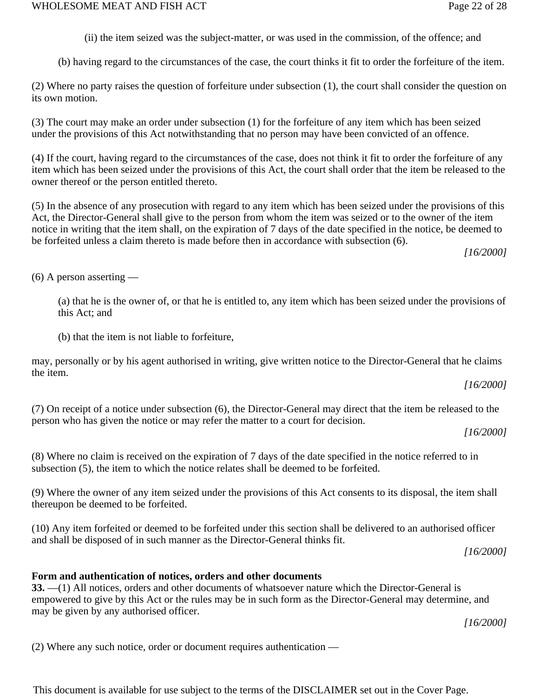(ii) the item seized was the subject-matter, or was used in the commission, of the offence; and

(b) having regard to the circumstances of the case, the court thinks it fit to order the forfeiture of the item.

(2) Where no party raises the question of forfeiture under subsection (1), the court shall consider the question on its own motion.

(3) The court may make an order under subsection (1) for the forfeiture of any item which has been seized under the provisions of this Act notwithstanding that no person may have been convicted of an offence.

(4) If the court, having regard to the circumstances of the case, does not think it fit to order the forfeiture of any item which has been seized under the provisions of this Act, the court shall order that the item be released to the owner thereof or the person entitled thereto.

(5) In the absence of any prosecution with regard to any item which has been seized under the provisions of this Act, the Director-General shall give to the person from whom the item was seized or to the owner of the item notice in writing that the item shall, on the expiration of 7 days of the date specified in the notice, be deemed to be forfeited unless a claim thereto is made before then in accordance with subsection (6).

*[16/2000]*

(6) A person asserting —

(a) that he is the owner of, or that he is entitled to, any item which has been seized under the provisions of this Act; and

(b) that the item is not liable to forfeiture,

may, personally or by his agent authorised in writing, give written notice to the Director-General that he claims the item.

*[16/2000]*

(7) On receipt of a notice under subsection (6), the Director-General may direct that the item be released to the person who has given the notice or may refer the matter to a court for decision.

*[16/2000]*

(8) Where no claim is received on the expiration of 7 days of the date specified in the notice referred to in subsection (5), the item to which the notice relates shall be deemed to be forfeited.

(9) Where the owner of any item seized under the provisions of this Act consents to its disposal, the item shall thereupon be deemed to be forfeited.

(10) Any item forfeited or deemed to be forfeited under this section shall be delivered to an authorised officer and shall be disposed of in such manner as the Director-General thinks fit.

*[16/2000]*

## **Form and authentication of notices, orders and other documents**

**33.** —(1) All notices, orders and other documents of whatsoever nature which the Director-General is empowered to give by this Act or the rules may be in such form as the Director-General may determine, and may be given by any authorised officer.

*[16/2000]*

(2) Where any such notice, order or document requires authentication —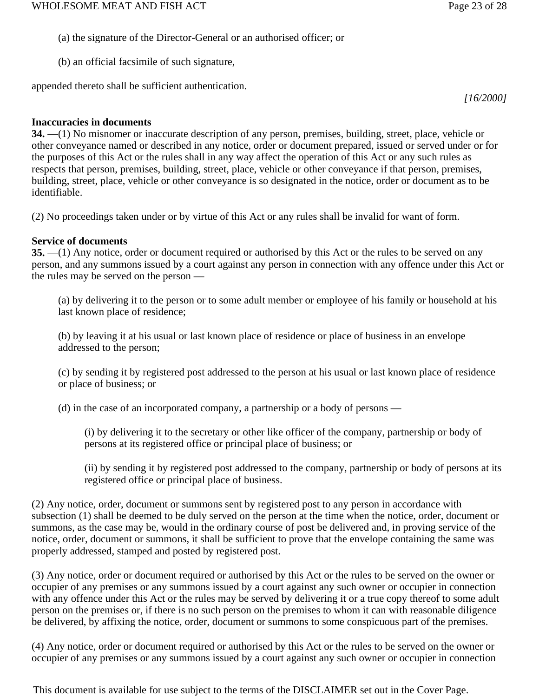- (a) the signature of the Director-General or an authorised officer; or
- (b) an official facsimile of such signature,

appended thereto shall be sufficient authentication.

*[16/2000]*

# **Inaccuracies in documents**

**34.** —(1) No misnomer or inaccurate description of any person, premises, building, street, place, vehicle or other conveyance named or described in any notice, order or document prepared, issued or served under or for the purposes of this Act or the rules shall in any way affect the operation of this Act or any such rules as respects that person, premises, building, street, place, vehicle or other conveyance if that person, premises, building, street, place, vehicle or other conveyance is so designated in the notice, order or document as to be identifiable.

(2) No proceedings taken under or by virtue of this Act or any rules shall be invalid for want of form.

# **Service of documents**

**35.** —(1) Any notice, order or document required or authorised by this Act or the rules to be served on any person, and any summons issued by a court against any person in connection with any offence under this Act or the rules may be served on the person —

(a) by delivering it to the person or to some adult member or employee of his family or household at his last known place of residence;

(b) by leaving it at his usual or last known place of residence or place of business in an envelope addressed to the person;

(c) by sending it by registered post addressed to the person at his usual or last known place of residence or place of business; or

(d) in the case of an incorporated company, a partnership or a body of persons —

(i) by delivering it to the secretary or other like officer of the company, partnership or body of persons at its registered office or principal place of business; or

(ii) by sending it by registered post addressed to the company, partnership or body of persons at its registered office or principal place of business.

(2) Any notice, order, document or summons sent by registered post to any person in accordance with subsection (1) shall be deemed to be duly served on the person at the time when the notice, order, document or summons, as the case may be, would in the ordinary course of post be delivered and, in proving service of the notice, order, document or summons, it shall be sufficient to prove that the envelope containing the same was properly addressed, stamped and posted by registered post.

(3) Any notice, order or document required or authorised by this Act or the rules to be served on the owner or occupier of any premises or any summons issued by a court against any such owner or occupier in connection with any offence under this Act or the rules may be served by delivering it or a true copy thereof to some adult person on the premises or, if there is no such person on the premises to whom it can with reasonable diligence be delivered, by affixing the notice, order, document or summons to some conspicuous part of the premises.

(4) Any notice, order or document required or authorised by this Act or the rules to be served on the owner or occupier of any premises or any summons issued by a court against any such owner or occupier in connection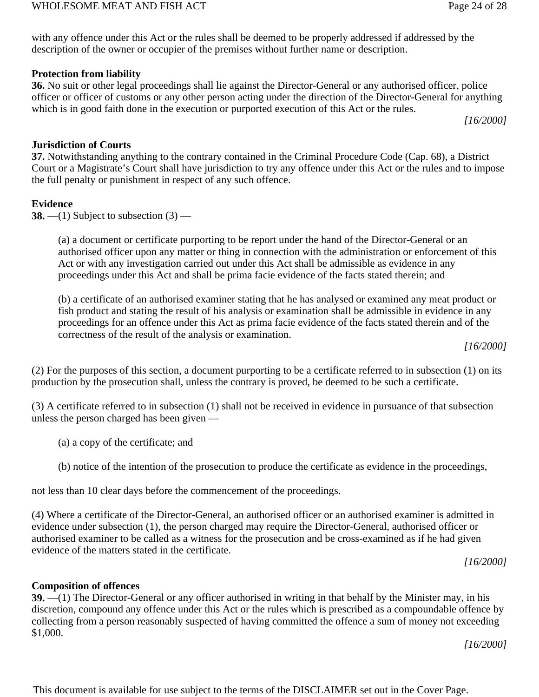with any offence under this Act or the rules shall be deemed to be properly addressed if addressed by the description of the owner or occupier of the premises without further name or description.

## **Protection from liability**

**36.** No suit or other legal proceedings shall lie against the Director-General or any authorised officer, police officer or officer of customs or any other person acting under the direction of the Director-General for anything which is in good faith done in the execution or purported execution of this Act or the rules.

*[16/2000]*

## **Jurisdiction of Courts**

**37.** Notwithstanding anything to the contrary contained in the Criminal Procedure Code (Cap. 68), a District Court or a Magistrate's Court shall have jurisdiction to try any offence under this Act or the rules and to impose the full penalty or punishment in respect of any such offence.

#### **Evidence**

**38.**  $-$ (1) Subject to subsection (3)  $-$ 

(a) a document or certificate purporting to be report under the hand of the Director-General or an authorised officer upon any matter or thing in connection with the administration or enforcement of this Act or with any investigation carried out under this Act shall be admissible as evidence in any proceedings under this Act and shall be prima facie evidence of the facts stated therein; and

(b) a certificate of an authorised examiner stating that he has analysed or examined any meat product or fish product and stating the result of his analysis or examination shall be admissible in evidence in any proceedings for an offence under this Act as prima facie evidence of the facts stated therein and of the correctness of the result of the analysis or examination.

*[16/2000]*

(2) For the purposes of this section, a document purporting to be a certificate referred to in subsection (1) on its production by the prosecution shall, unless the contrary is proved, be deemed to be such a certificate.

(3) A certificate referred to in subsection (1) shall not be received in evidence in pursuance of that subsection unless the person charged has been given —

(a) a copy of the certificate; and

(b) notice of the intention of the prosecution to produce the certificate as evidence in the proceedings,

not less than 10 clear days before the commencement of the proceedings.

(4) Where a certificate of the Director-General, an authorised officer or an authorised examiner is admitted in evidence under subsection (1), the person charged may require the Director-General, authorised officer or authorised examiner to be called as a witness for the prosecution and be cross-examined as if he had given evidence of the matters stated in the certificate.

*[16/2000]*

# **Composition of offences**

**39.** —(1) The Director-General or any officer authorised in writing in that behalf by the Minister may, in his discretion, compound any offence under this Act or the rules which is prescribed as a compoundable offence by collecting from a person reasonably suspected of having committed the offence a sum of money not exceeding \$1,000.

*[16/2000]*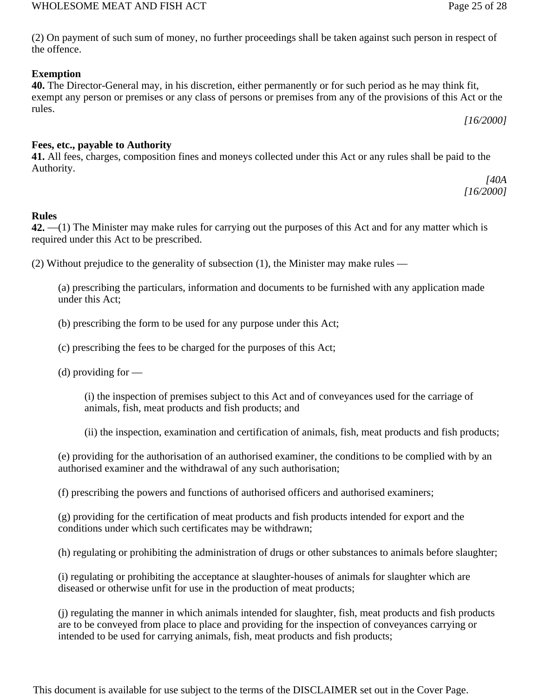# WHOLESOME MEAT AND FISH ACT Page 25 of 28

(2) On payment of such sum of money, no further proceedings shall be taken against such person in respect of the offence.

# **Exemption**

**40.** The Director-General may, in his discretion, either permanently or for such period as he may think fit, exempt any person or premises or any class of persons or premises from any of the provisions of this Act or the rules.

*[16/2000]*

# **Fees, etc., payable to Authority**

**41.** All fees, charges, composition fines and moneys collected under this Act or any rules shall be paid to the Authority.

*[40A [16/2000]*

# **Rules**

**42.** —(1) The Minister may make rules for carrying out the purposes of this Act and for any matter which is required under this Act to be prescribed.

(2) Without prejudice to the generality of subsection (1), the Minister may make rules —

(a) prescribing the particulars, information and documents to be furnished with any application made under this Act;

(b) prescribing the form to be used for any purpose under this Act;

(c) prescribing the fees to be charged for the purposes of this Act;

(d) providing for —

(i) the inspection of premises subject to this Act and of conveyances used for the carriage of animals, fish, meat products and fish products; and

(ii) the inspection, examination and certification of animals, fish, meat products and fish products;

(e) providing for the authorisation of an authorised examiner, the conditions to be complied with by an authorised examiner and the withdrawal of any such authorisation;

(f) prescribing the powers and functions of authorised officers and authorised examiners;

(g) providing for the certification of meat products and fish products intended for export and the conditions under which such certificates may be withdrawn;

(h) regulating or prohibiting the administration of drugs or other substances to animals before slaughter;

(i) regulating or prohibiting the acceptance at slaughter-houses of animals for slaughter which are diseased or otherwise unfit for use in the production of meat products;

(j) regulating the manner in which animals intended for slaughter, fish, meat products and fish products are to be conveyed from place to place and providing for the inspection of conveyances carrying or intended to be used for carrying animals, fish, meat products and fish products;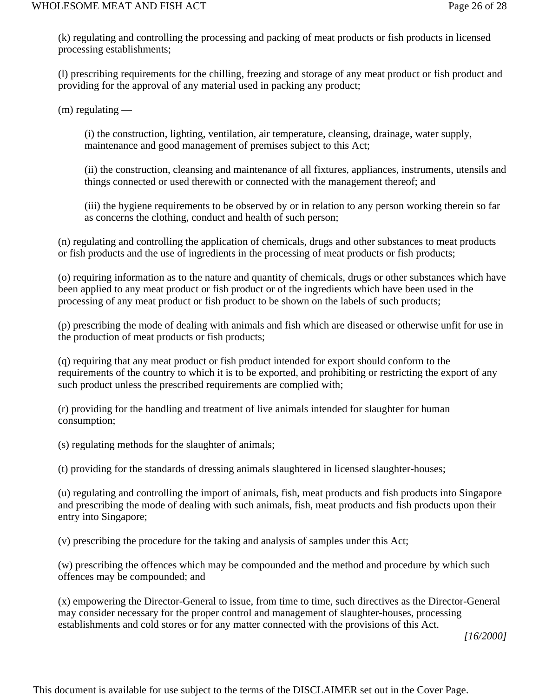(k) regulating and controlling the processing and packing of meat products or fish products in licensed processing establishments;

(l) prescribing requirements for the chilling, freezing and storage of any meat product or fish product and providing for the approval of any material used in packing any product;

 $(m)$  regulating —

(i) the construction, lighting, ventilation, air temperature, cleansing, drainage, water supply, maintenance and good management of premises subject to this Act;

(ii) the construction, cleansing and maintenance of all fixtures, appliances, instruments, utensils and things connected or used therewith or connected with the management thereof; and

(iii) the hygiene requirements to be observed by or in relation to any person working therein so far as concerns the clothing, conduct and health of such person;

(n) regulating and controlling the application of chemicals, drugs and other substances to meat products or fish products and the use of ingredients in the processing of meat products or fish products;

(o) requiring information as to the nature and quantity of chemicals, drugs or other substances which have been applied to any meat product or fish product or of the ingredients which have been used in the processing of any meat product or fish product to be shown on the labels of such products;

(p) prescribing the mode of dealing with animals and fish which are diseased or otherwise unfit for use in the production of meat products or fish products;

(q) requiring that any meat product or fish product intended for export should conform to the requirements of the country to which it is to be exported, and prohibiting or restricting the export of any such product unless the prescribed requirements are complied with;

(r) providing for the handling and treatment of live animals intended for slaughter for human consumption;

(s) regulating methods for the slaughter of animals;

(t) providing for the standards of dressing animals slaughtered in licensed slaughter-houses;

(u) regulating and controlling the import of animals, fish, meat products and fish products into Singapore and prescribing the mode of dealing with such animals, fish, meat products and fish products upon their entry into Singapore;

(v) prescribing the procedure for the taking and analysis of samples under this Act;

(w) prescribing the offences which may be compounded and the method and procedure by which such offences may be compounded; and

(x) empowering the Director-General to issue, from time to time, such directives as the Director-General may consider necessary for the proper control and management of slaughter-houses, processing establishments and cold stores or for any matter connected with the provisions of this Act.

*[16/2000]*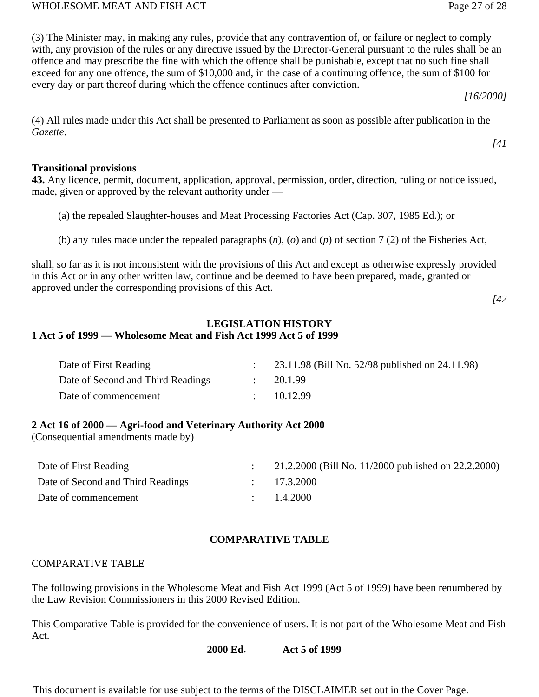(3) The Minister may, in making any rules, provide that any contravention of, or failure or neglect to comply with, any provision of the rules or any directive issued by the Director-General pursuant to the rules shall be an offence and may prescribe the fine with which the offence shall be punishable, except that no such fine shall exceed for any one offence, the sum of \$10,000 and, in the case of a continuing offence, the sum of \$100 for every day or part thereof during which the offence continues after conviction.

*[16/2000]*

*[41*

(4) All rules made under this Act shall be presented to Parliament as soon as possible after publication in the *Gazette*.

#### **Transitional provisions**

**43.** Any licence, permit, document, application, approval, permission, order, direction, ruling or notice issued, made, given or approved by the relevant authority under —

- (a) the repealed Slaughter-houses and Meat Processing Factories Act (Cap. 307, 1985 Ed.); or
- (b) any rules made under the repealed paragraphs (*n*), (*o*) and (*p*) of section 7 (2) of the Fisheries Act,

shall, so far as it is not inconsistent with the provisions of this Act and except as otherwise expressly provided in this Act or in any other written law, continue and be deemed to have been prepared, made, granted or approved under the corresponding provisions of this Act.

*[42*

#### **LEGISLATION HISTORY 1 Act 5 of 1999 — Wholesome Meat and Fish Act 1999 Act 5 of 1999**

| Date of First Reading             | 23.11.98 (Bill No. 52/98 published on 24.11.98) |
|-----------------------------------|-------------------------------------------------|
| Date of Second and Third Readings | 20.1.99                                         |
| Date of commencement              | 10.12.99                                        |

## **2 Act 16 of 2000 — Agri-food and Veterinary Authority Act 2000**

(Consequential amendments made by)

| Date of First Reading             | 21.2.2000 (Bill No. 11/2000 published on 22.2.2000) |
|-----------------------------------|-----------------------------------------------------|
| Date of Second and Third Readings | : 17.3.2000                                         |
| Date of commencement              | $\therefore$ 1.4.2000                               |

# **COMPARATIVE TABLE**

## COMPARATIVE TABLE

The following provisions in the Wholesome Meat and Fish Act 1999 (Act 5 of 1999) have been renumbered by the Law Revision Commissioners in this 2000 Revised Edition.

This Comparative Table is provided for the convenience of users. It is not part of the Wholesome Meat and Fish Act.

#### **2000 Ed**. **Act 5 of 1999**